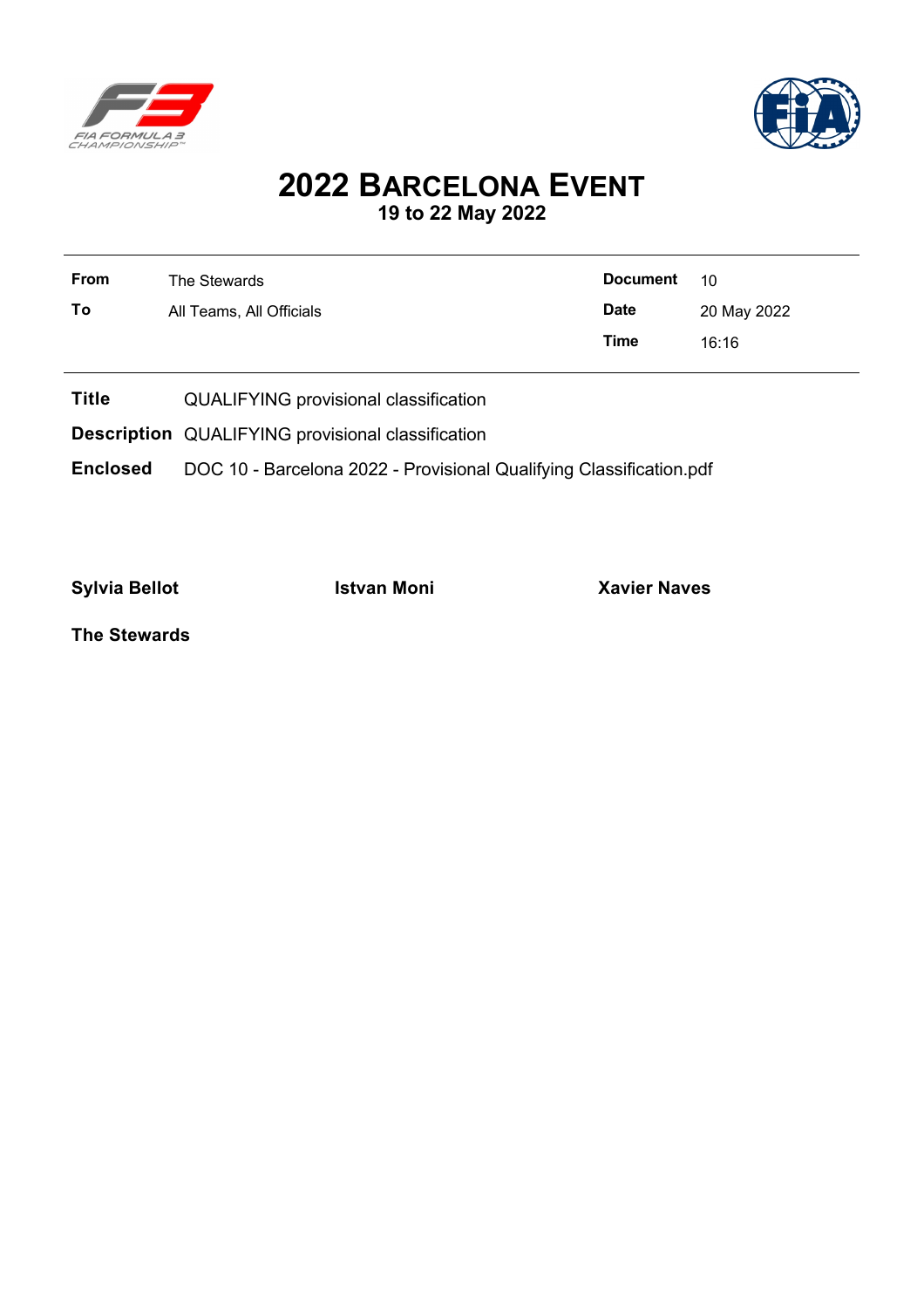



## **2022 BARCELONA EVENT 19 to 22 May 2022**

| <b>From</b> | The Stewards             | <b>Document</b> | 10          |
|-------------|--------------------------|-----------------|-------------|
| To          | All Teams, All Officials | <b>Date</b>     | 20 May 2022 |
|             |                          | Time            | 16:16       |

- **Title** QUALIFYING provisional classification
- **Description** QUALIFYING provisional classification
- **Enclosed** DOC 10 Barcelona 2022 Provisional Qualifying Classification.pdf

**Sylvia Bellot Istvan Moni Xavier Naves**

**The Stewards**